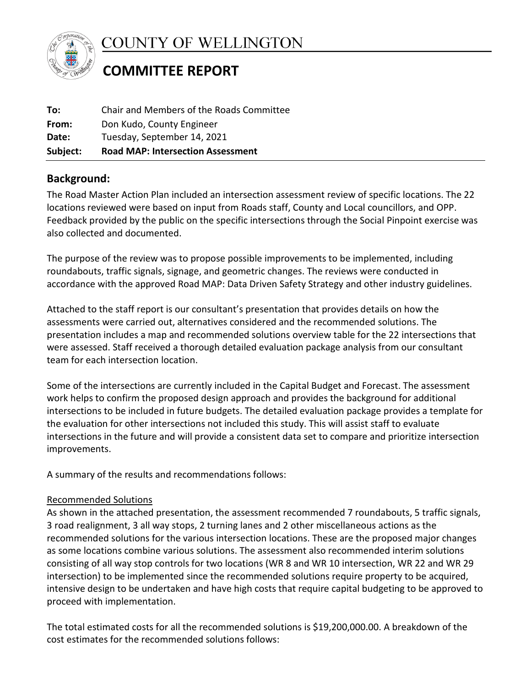

COUNTY OF WELLINGTON

# **COMMITTEE REPORT**

| Subject: | <b>Road MAP: Intersection Assessment</b> |
|----------|------------------------------------------|
| Date:    | Tuesday, September 14, 2021              |
| From:    | Don Kudo, County Engineer                |
| To:      | Chair and Members of the Roads Committee |
|          |                                          |

## **Background:**

The Road Master Action Plan included an intersection assessment review of specific locations. The 22 locations reviewed were based on input from Roads staff, County and Local councillors, and OPP. Feedback provided by the public on the specific intersections through the Social Pinpoint exercise was also collected and documented.

The purpose of the review was to propose possible improvements to be implemented, including roundabouts, traffic signals, signage, and geometric changes. The reviews were conducted in accordance with the approved Road MAP: Data Driven Safety Strategy and other industry guidelines.

Attached to the staff report is our consultant's presentation that provides details on how the assessments were carried out, alternatives considered and the recommended solutions. The presentation includes a map and recommended solutions overview table for the 22 intersections that were assessed. Staff received a thorough detailed evaluation package analysis from our consultant team for each intersection location.

Some of the intersections are currently included in the Capital Budget and Forecast. The assessment work helps to confirm the proposed design approach and provides the background for additional intersections to be included in future budgets. The detailed evaluation package provides a template for the evaluation for other intersections not included this study. This will assist staff to evaluate intersections in the future and will provide a consistent data set to compare and prioritize intersection improvements.

A summary of the results and recommendations follows:

## Recommended Solutions Recommended Solutions

As shown in the attached presentation, the assessment recommended 7 roundabouts, 5 traffic signals, 3 road realignment, 3 all way stops, 2 turning lanes and 2 other miscellaneous actions as the recommended solutions for the various intersection locations. These are the proposed major changes as some locations combine various solutions. The assessment also recommended interim solutions consisting of all way stop controls for two locations (WR 8 and WR 10 intersection, WR 22 and WR 29 intersection) to be implemented since the recommended solutions require property to be acquired, intensive design to be undertaken and have high costs that require capital budgeting to be approved to proceed with implementation.

The total estimated costs for all the recommended solutions is \$19,200,000.00. A breakdown of the cost estimates for the recommended solutions follows: